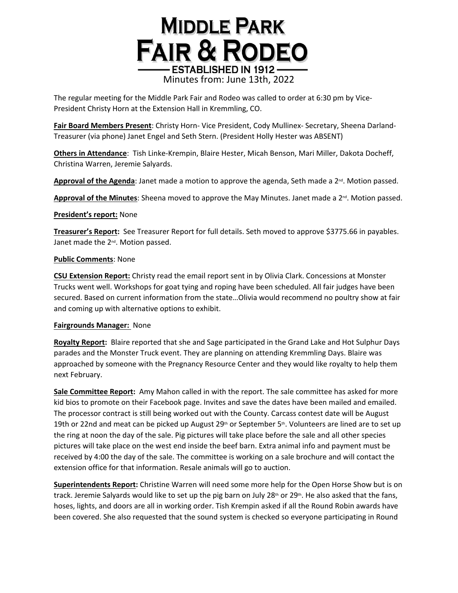## **MIDDLE PARK FAIR & RODEO ESTABLISHED IN 1912-**Minutes from: June 13th, 2022

The regular meeting for the Middle Park Fair and Rodeo was called to order at 6:30 pm by Vice-President Christy Horn at the Extension Hall in Kremmling, CO.

**Fair Board Members Present**: Christy Horn- Vice President, Cody Mullinex- Secretary, Sheena Darland-Treasurer (via phone) Janet Engel and Seth Stern. (President Holly Hester was ABSENT)

**Others in Attendance**: Tish Linke-Krempin, Blaire Hester, Micah Benson, Mari Miller, Dakota Docheff, Christina Warren, Jeremie Salyards.

Approval of the Agenda: Janet made a motion to approve the agenda, Seth made a 2<sup>nd</sup>. Motion passed.

Approval of the Minutes: Sheena moved to approve the May Minutes. Janet made a 2<sup>nd</sup>. Motion passed.

### **President's report:** None

**Treasurer's Report:** See Treasurer Report for full details. Seth moved to approve \$3775.66 in payables. Janet made the 2<sup>nd</sup>. Motion passed.

### **Public Comments**: None

**CSU Extension Report:** Christy read the email report sent in by Olivia Clark. Concessions at Monster Trucks went well. Workshops for goat tying and roping have been scheduled. All fair judges have been secured. Based on current information from the state…Olivia would recommend no poultry show at fair and coming up with alternative options to exhibit.

### **Fairgrounds Manager:** None

**Royalty Report:** Blaire reported that she and Sage participated in the Grand Lake and Hot Sulphur Days parades and the Monster Truck event. They are planning on attending Kremmling Days. Blaire was approached by someone with the Pregnancy Resource Center and they would like royalty to help them next February.

**Sale Committee Report:** Amy Mahon called in with the report. The sale committee has asked for more kid bios to promote on their Facebook page. Invites and save the dates have been mailed and emailed. The processor contract is still being worked out with the County. Carcass contest date will be August 19th or 22nd and meat can be picked up August 29th or September 5th. Volunteers are lined are to set up the ring at noon the day of the sale. Pig pictures will take place before the sale and all other species pictures will take place on the west end inside the beef barn. Extra animal info and payment must be received by 4:00 the day of the sale. The committee is working on a sale brochure and will contact the extension office for that information. Resale animals will go to auction.

**Superintendents Report:** Christine Warren will need some more help for the Open Horse Show but is on track. Jeremie Salyards would like to set up the pig barn on July 28<sup>th</sup> or 29<sup>th</sup>. He also asked that the fans, hoses, lights, and doors are all in working order. Tish Krempin asked if all the Round Robin awards have been covered. She also requested that the sound system is checked so everyone participating in Round